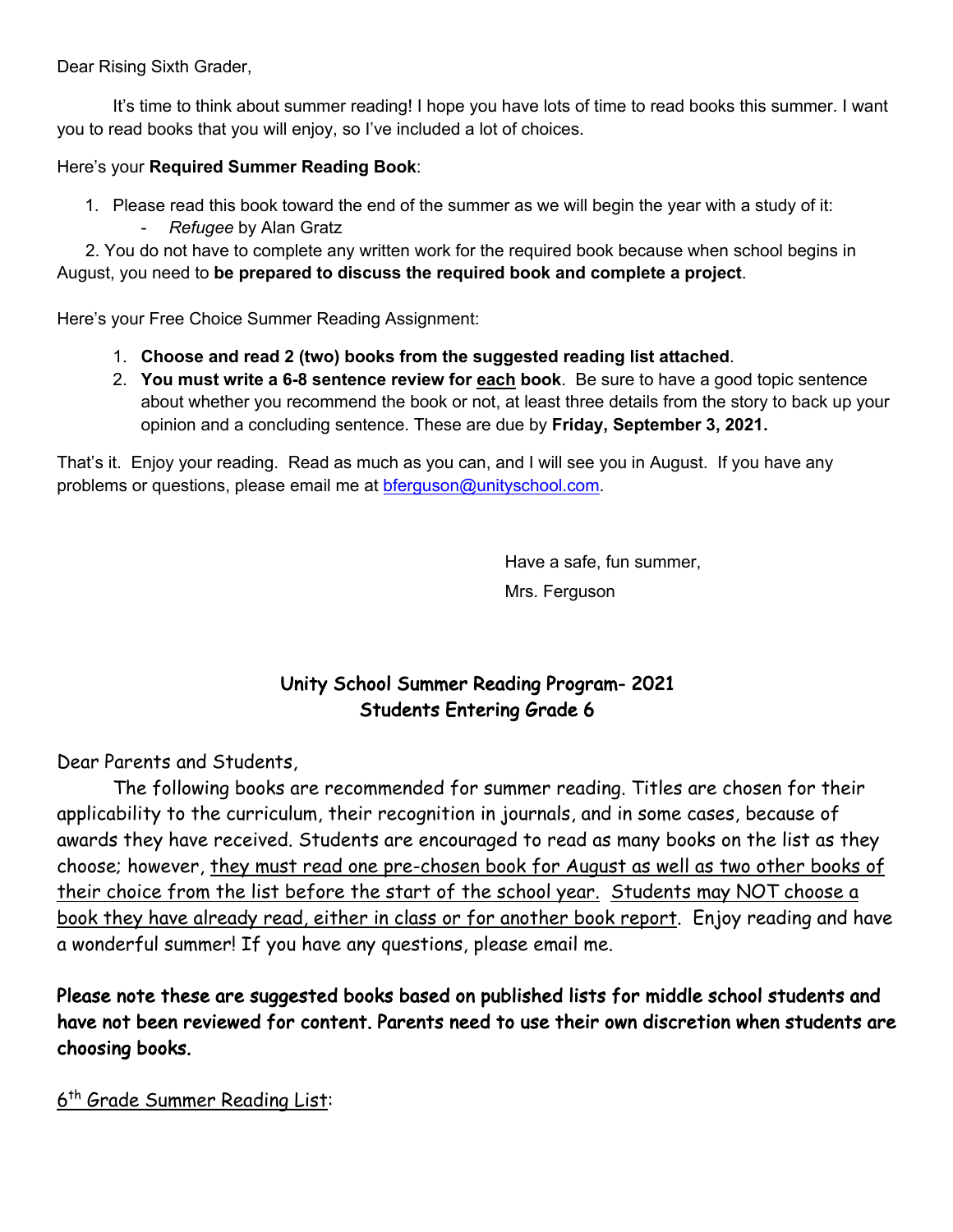Dear Rising Sixth Grader,

It's time to think about summer reading! I hope you have lots of time to read books this summer. I want you to read books that you will enjoy, so I've included a lot of choices.

## Here's your **Required Summer Reading Book**:

1. Please read this book toward the end of the summer as we will begin the year with a study of it: - *Refugee* by Alan Gratz

 2. You do not have to complete any written work for the required book because when school begins in August, you need to **be prepared to discuss the required book and complete a project**.

Here's your Free Choice Summer Reading Assignment:

- 1. **Choose and read 2 (two) books from the suggested reading list attached**.
- 2. **You must write a 6-8 sentence review for each book**. Be sure to have a good topic sentence about whether you recommend the book or not, at least three details from the story to back up your opinion and a concluding sentence. These are due by **Friday, September 3, 2021.**

That's it. Enjoy your reading. Read as much as you can, and I will see you in August. If you have any problems or questions, please email me at bferguson@unityschool.com.

> Have a safe, fun summer, Mrs. Ferguson

# Unity School Summer Reading Program- 2021 Students Entering Grade 6

Dear Parents and Students,

 The following books are recommended for summer reading. Titles are chosen for their applicability to the curriculum, their recognition in journals, and in some cases, because of awards they have received. Students are encouraged to read as many books on the list as they choose; however, they must read one pre-chosen book for August as well as two other books of their choice from the list before the start of the school year. Students may NOT choose a book they have already read, either in class or for another book report. Enjoy reading and have a wonderful summer! If you have any questions, please email me.

Please note these are suggested books based on published lists for middle school students and have not been reviewed for content. Parents need to use their own discretion when students are choosing books.

6th Grade Summer Reading List: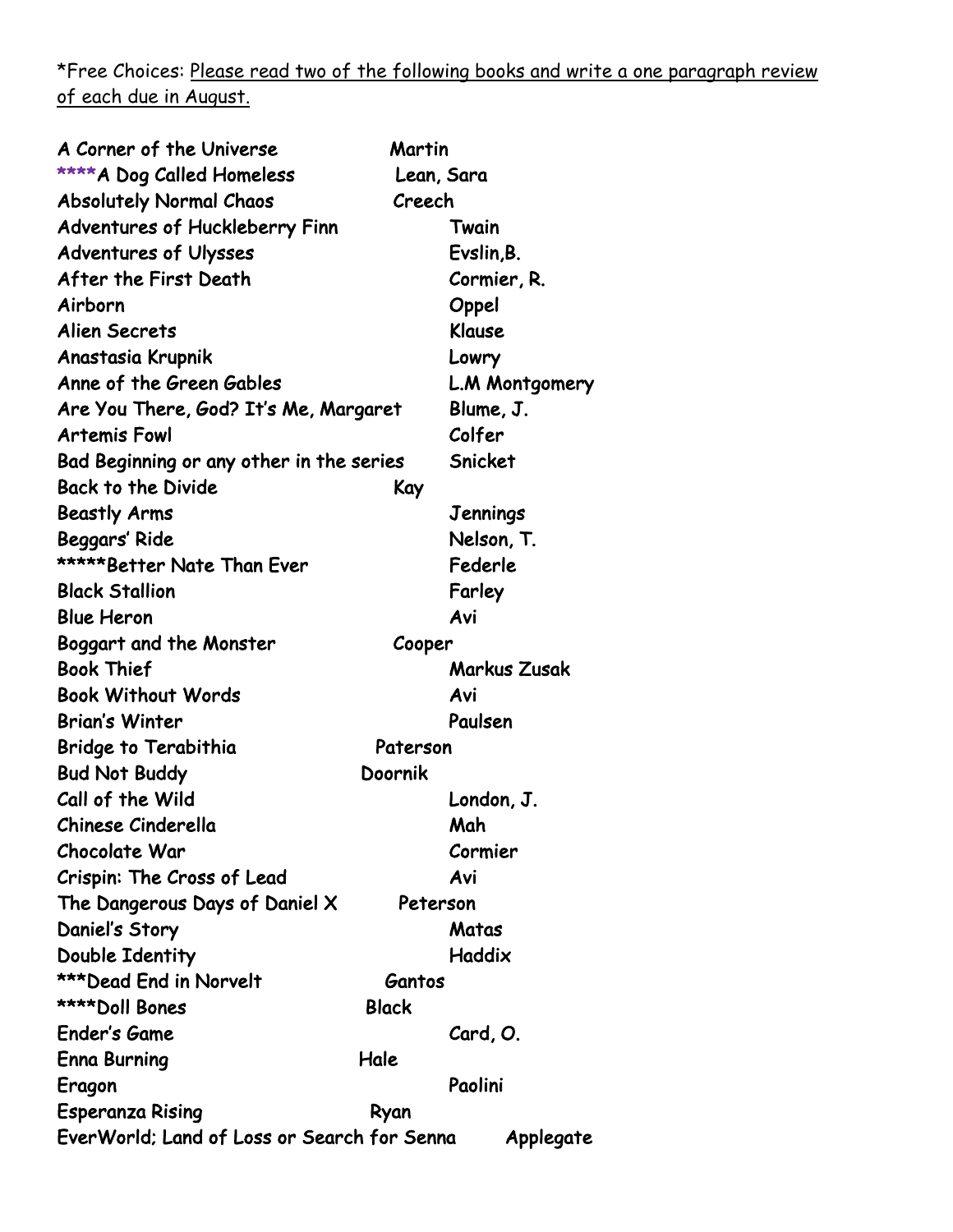\*Free Choices: Please read two of the following books and write a one paragraph review of each due in August.

| A Corner of the Universe                                 | Martin              |
|----------------------------------------------------------|---------------------|
| **** A Dog Called Homeless                               | Lean, Sara          |
| <b>Absolutely Normal Chaos</b>                           | Creech              |
| <b>Adventures of Huckleberry Finn</b>                    | Twain               |
| <b>Adventures of Ulysses</b>                             | Evslin, B.          |
| After the First Death                                    | Cormier, R.         |
| Airborn                                                  | Oppel               |
| <b>Alien Secrets</b>                                     | Klause              |
| Anastasia Krupnik                                        | Lowry               |
| Anne of the Green Gables                                 | L.M Montgomery      |
| Are You There, God? It's Me, Margaret                    | Blume, J.           |
| <b>Artemis Fowl</b>                                      | Colfer              |
| Bad Beginning or any other in the series                 | Snicket             |
| <b>Back to the Divide</b>                                | Kay                 |
| <b>Beastly Arms</b>                                      | Jennings            |
| Beggars' Ride                                            | Nelson, T.          |
| *****Better Nate Than Ever                               | Federle             |
| <b>Black Stallion</b>                                    | Farley              |
| <b>Blue Heron</b>                                        | Avi                 |
| Boggart and the Monster                                  | Cooper              |
| <b>Book Thief</b>                                        | <b>Markus Zusak</b> |
| <b>Book Without Words</b>                                | Avi                 |
| <b>Brian's Winter</b>                                    | Paulsen             |
| Bridge to Terabithia                                     | Paterson            |
| <b>Bud Not Buddy</b>                                     | Doornik             |
| Call of the Wild                                         | London, J.          |
| Chinese Cinderella                                       | Mah                 |
| <b>Chocolate War</b>                                     | Cormier             |
| Crispin: The Cross of Lead                               | Avi                 |
| The Dangerous Days of Daniel X                           | Peterson            |
| Daniel's Story                                           | Matas               |
| Double Identity                                          | Haddix              |
| ***Dead End in Norvelt                                   | Gantos              |
| ****Doll Bones                                           | <b>Black</b>        |
| <b>Ender's Game</b>                                      | Card, O.            |
| <b>Enna Burning</b><br>Hale                              |                     |
| Eragon                                                   | Paolini             |
| <b>Esperanza Rising</b>                                  | Ryan                |
| EverWorld; Land of Loss or Search for Senna<br>Applegate |                     |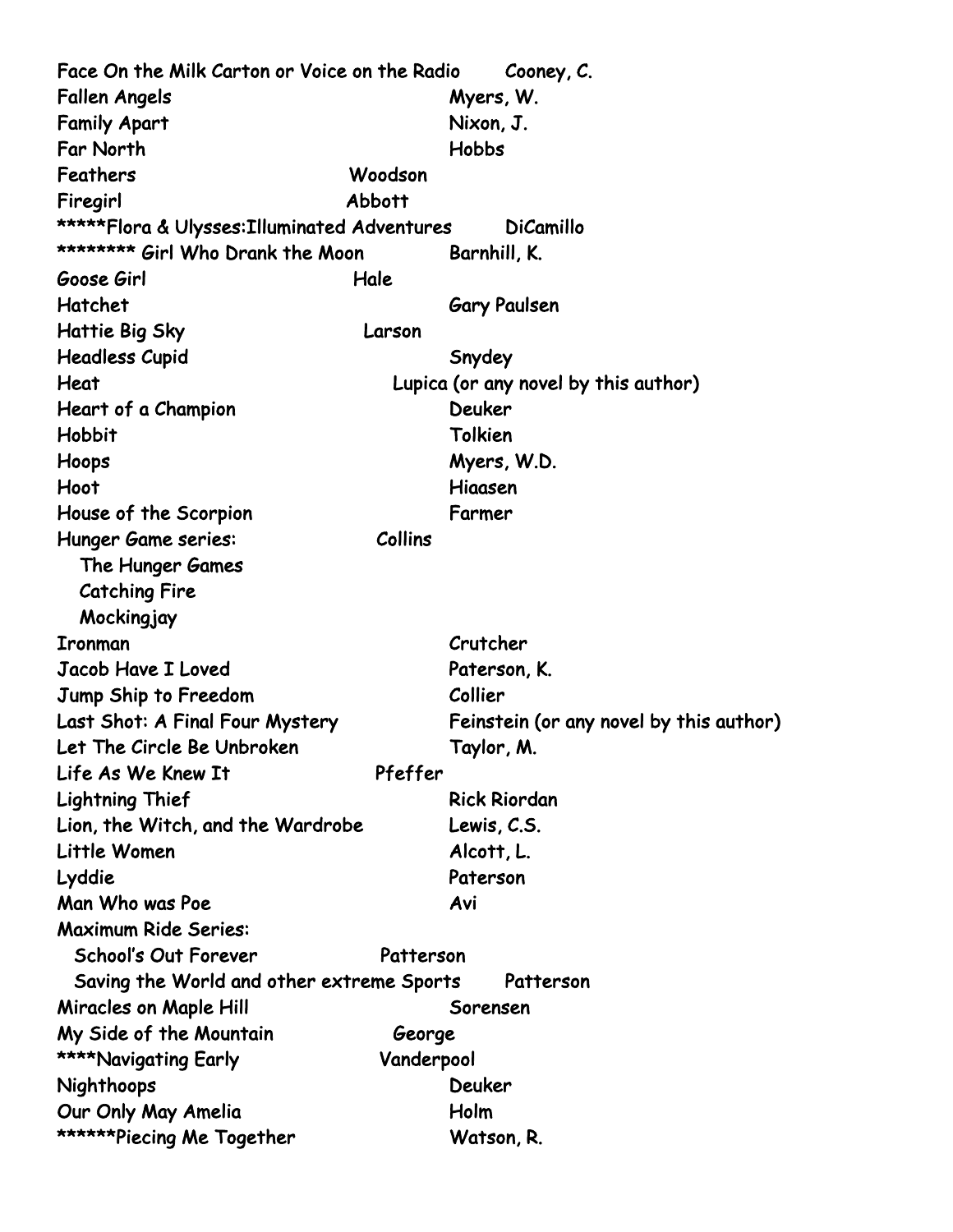Face On the Milk Carton or Voice on the Radio Cooney, C. Fallen Angels Myers, W. Family Apart Nixon, J. Far North Hobbs Feathers Woodson Firegirl Abbott \*\*\*\*\*Flora & Ulysses:Illuminated Adventures DiCamillo \*\*\*\*\*\*\*\*\* Girl Who Drank the Moon Barnhill, K. Goose Girl Hale Hatchet Gary Paulsen Hattie Big Sky Larson Headless Cupid Snydey Heat Lupica (or any novel by this author) Heart of a Champion **Deuker** Hobbit Tolkien Hoops Myers, W.D. Hoot Hiaasen House of the Scorpion Farmer Hunger Game series: Collins The Hunger Games Catching Fire **Mockingjay** Ironman Crutcher Jacob Have I Loved Paterson, K. Jump Ship to Freedom Collier Last Shot: A Final Four Mystery Feinstein (or any novel by this author) Let The Circle Be Unbroken Taylor, M. Life As We Knew It Pfeffer Lightning Thief Rick Riordan Lion, the Witch, and the Wardrobe Lewis, C.S. Little Women Alcott, L. Lyddie Paterson Man Who was Poe Avi Maximum Ride Series: School's Out Forever **Patterson** Saving the World and other extreme Sports Patterson Miracles on Maple Hill **Sorensen** My Side of the Mountain George \*\*\*\*Navigating Early Vanderpool Nighthoops Deuker Our Only May Amelia **Holm** \*\*\*\*\*\*Piecing Me Together Watson, R.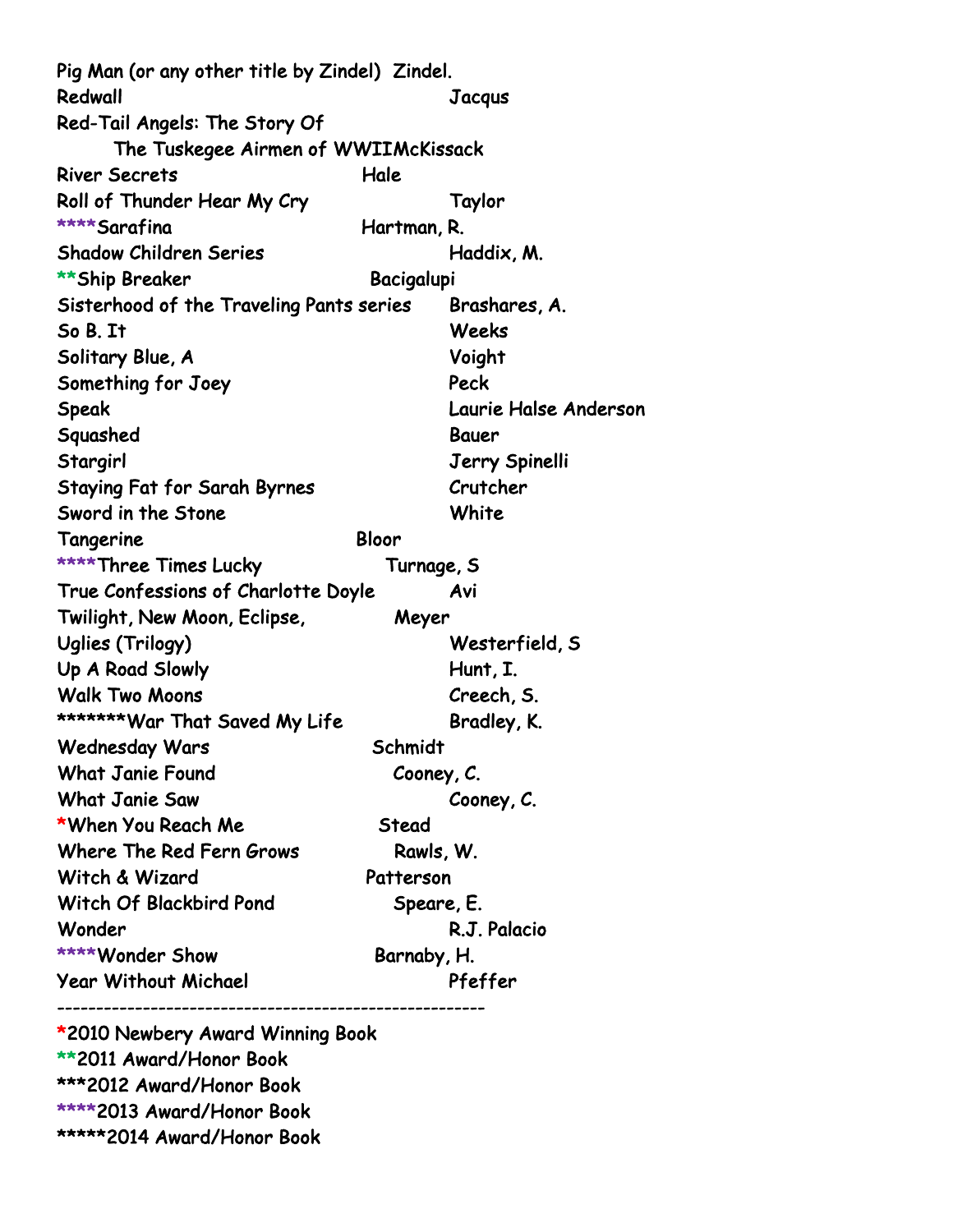Pig Man (or any other title by Zindel) Zindel. Redwall Jacqus Red-Tail Angels: The Story Of The Tuskegee Airmen of WWII McKissack River Secrets **Hale** Roll of Thunder Hear My Cry Taylor \*\*\*\*Sarafina Hartman, R. Shadow Children Series **Haddix, M.** \*\*Ship Breaker Bacigalupi Sisterhood of the Traveling Pants series Brashares, A. So B. It Weeks Solitary Blue, A Voight Something for Joey **Peck** Speak Laurie Halse Anderson Squashed Bauer Stargirl Jerry Spinelli Staying Fat for Sarah Byrnes Crutcher Sword in the Stone White Tangerine Bloor \*\*\*\*Three Times Lucky Turnage, S True Confessions of Charlotte Doyle Avi Twilight, New Moon, Eclipse, Meyer Uglies (Trilogy) Westerfield, S Up A Road Slowly Hunt, I. Walk Two Moons **Creech, S.** \*\*\*\*\*\*\*War That Saved My Life Bradley, K. Wednesday Wars Schmidt What Janie Found Cooney, C. What Janie Saw Cooney, C. \*When You Reach Me Stead Where The Red Fern Grows Rawls, W. Witch & Wizard Patterson Witch Of Blackbird Pond Speare, E. Wonder R.J. Palacio \*\*\*\*Wonder Show Barnaby, H. Year Without Michael Pfeffer -------------------------------------------------------

\*2010 Newbery Award Winning Book \*\*2011 Award/Honor Book \*\*\*2012 Award/Honor Book \*\*\*\*2013 Award/Honor Book \*\*\*\*\*2014 Award/Honor Book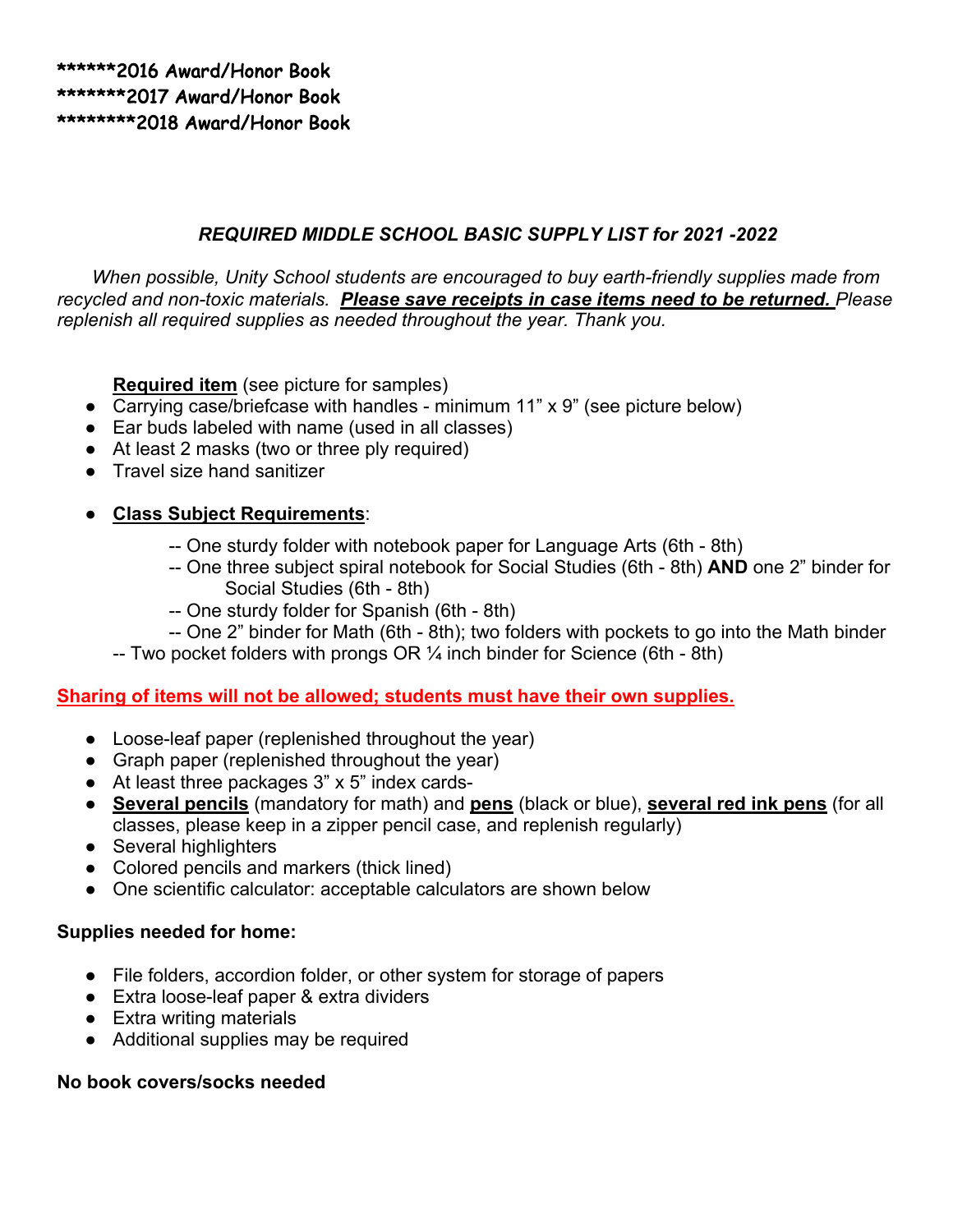# *REQUIRED MIDDLE SCHOOL BASIC SUPPLY LIST for 2021 -2022*

*When possible, Unity School students are encouraged to buy earth-friendly supplies made from recycled and non-toxic materials. Please save receipts in case items need to be returned. Please replenish all required supplies as needed throughout the year. Thank you.*

**Required item** (see picture for samples)

- Carrying case/briefcase with handles minimum 11" x 9" (see picture below)
- Ear buds labeled with name (used in all classes)
- At least 2 masks (two or three ply required)
- Travel size hand sanitizer

### ● **Class Subject Requirements**:

- -- One sturdy folder with notebook paper for Language Arts (6th 8th)
- -- One three subject spiral notebook for Social Studies (6th 8th) **AND** one 2" binder for Social Studies (6th - 8th)
- -- One sturdy folder for Spanish (6th 8th)
- -- One 2" binder for Math (6th 8th); two folders with pockets to go into the Math binder
- -- Two pocket folders with prongs OR  $\frac{1}{4}$  inch binder for Science (6th 8th)

#### **Sharing of items will not be allowed; students must have their own supplies.**

- Loose-leaf paper (replenished throughout the year)
- Graph paper (replenished throughout the year)
- At least three packages 3" x 5" index cards-
- **Several pencils** (mandatory for math) and **pens** (black or blue), **several red ink pens** (for all classes, please keep in a zipper pencil case, and replenish regularly)
- Several highlighters
- Colored pencils and markers (thick lined)
- One scientific calculator: acceptable calculators are shown below

#### **Supplies needed for home:**

- File folders, accordion folder, or other system for storage of papers
- Extra loose-leaf paper & extra dividers
- Extra writing materials
- Additional supplies may be required

#### **No book covers/socks needed**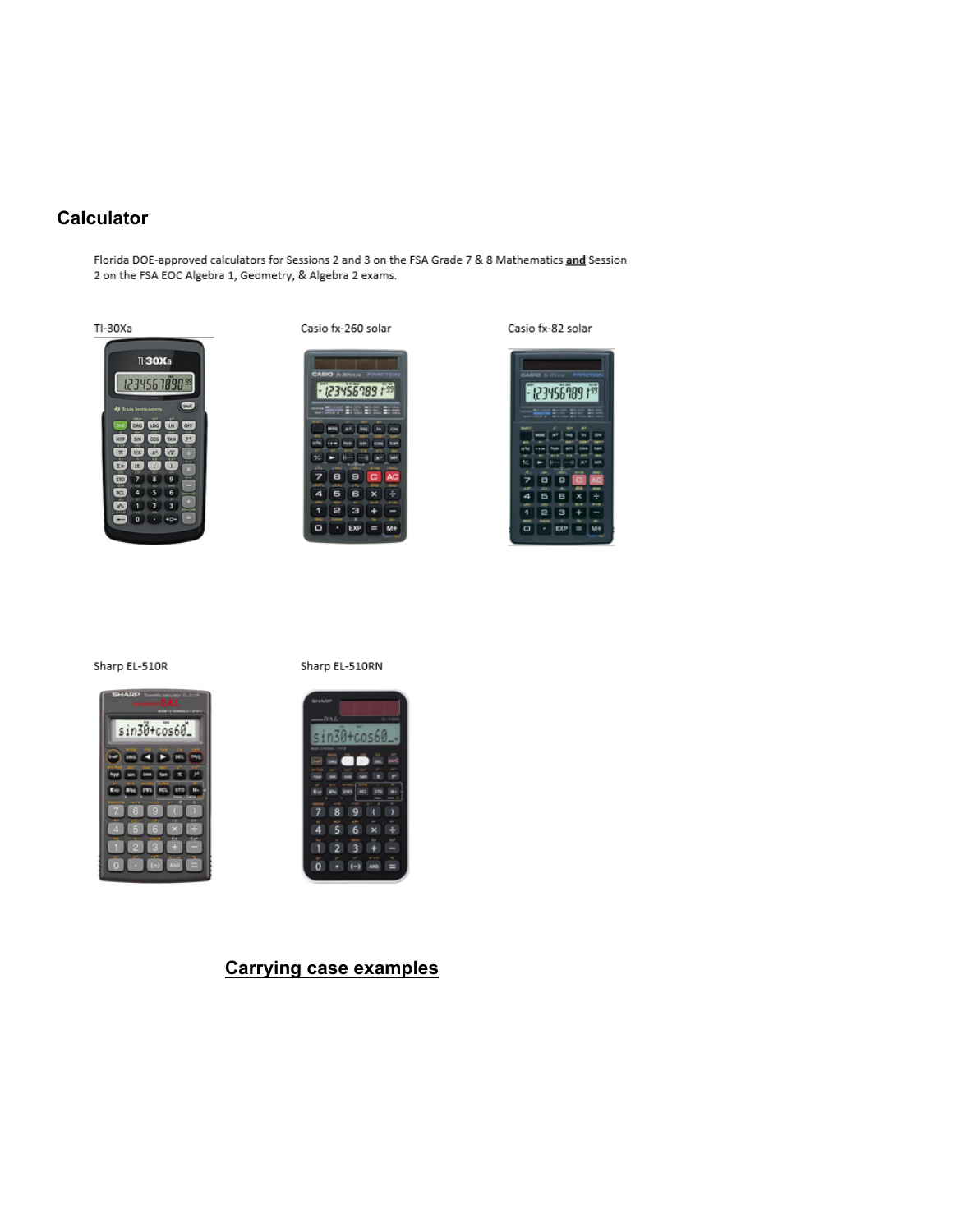#### **Calculator**

Florida DOE-approved calculators for Sessions 2 and 3 on the FSA Grade 7 & 8 Mathematics and Session 2 on the FSA EOC Algebra 1, Geometry, & Algebra 2 exams.



Casio fx-260 solar





#### Sharp EL-510R



Sharp EL-510RN



#### **Carrying case examples**